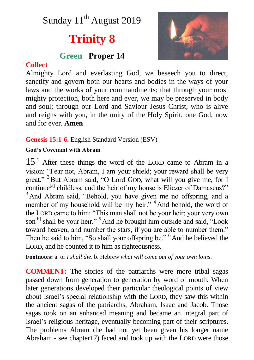# Sunday  $11<sup>th</sup>$  August 2019

# **Trinity 8**

## **Green Proper 14**

#### **Collect**



Almighty Lord and everlasting God, we beseech you to direct, sanctify and govern both our hearts and bodies in the ways of your laws and the works of your commandments; that through your most mighty protection, both here and ever, we may be preserved in body and soul; through our Lord and Saviour Jesus Christ, who is alive and reigns with you, in the unity of the Holy Spirit, one God, now and for ever. **Amen**

**Genesis 15:1-6.** English Standard Version (ESV)

#### **God's Covenant with Abram**

 $15<sup>1</sup>$  After these things the word of the LORD came to Abram in a vision: "Fear not, Abram, I am your shield; your reward shall be very great." <sup>2</sup>But Abram said, "O Lord GOD, what will you give me, for I continue<sup>[a]</sup> childless, and the heir of my house is Eliezer of Damascus?" <sup>3</sup>And Abram said, "Behold, you have given me no offspring, and a member of my household will be my heir."<sup>4</sup> And behold, the word of the LORD came to him: "This man shall not be your heir; your very own son<sup>[b]</sup> shall be your heir."<sup>5</sup> And he brought him outside and said, "Look" toward heaven, and number the stars, if you are able to number them." Then he said to him, "So shall your offspring be." <sup>6</sup>And he believed the LORD, and he counted it to him as righteousness.

**Footnotes:** a. or *I shall die*. b. Hebrew *what will come out of your own loins*.

**COMMENT:** The stories of the patriarchs were more tribal sagas passed down from generation to generation by word of mouth. When later generations developed their particular theological points of view about Israel's special relationship with the LORD, they saw this within the ancient sagas of the patriarchs, Abraham, Isaac and Jacob. Those sagas took on an enhanced meaning and became an integral part of Israel's religious heritage, eventually becoming part of their scriptures. The problems Abram (he had not yet been given his longer name Abraham - see chapter17) faced and took up with the LORD were those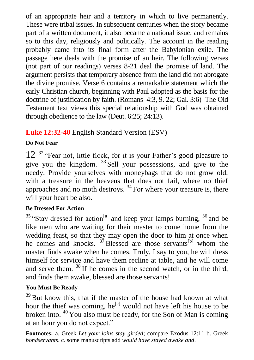of an appropriate heir and a territory in which to live permanently. These were tribal issues. In subsequent centuries when the story became part of a written document, it also became a national issue, and remains so to this day, religiously and politically. The account in the reading probably came into its final form after the Babylonian exile. The passage here deals with the promise of an heir. The following verses (not part of our readings) verses 8-21 deal the promise of land. The argument persists that temporary absence from the land did not abrogate the divine promise. Verse 6 contains a remarkable statement which the early Christian church, beginning with Paul adopted as the basis for the doctrine of justification by faith. (Romans 4:3, 9. 22; Gal. 3:6) The Old Testament text views this special relationship with God was obtained through obedience to the law (Deut. 6:25; 24:13).

### **Luke 12:32-40** English Standard Version (ESV)

#### **Do Not Fear**

 $12^{32}$  "Fear not, little flock, for it is your Father's good pleasure to give you the kingdom. <sup>33</sup> Sell your possessions, and give to the needy. Provide yourselves with moneybags that do not grow old, with a treasure in the heavens that does not fail, where no thief approaches and no moth destroys.  $34$  For where your treasure is, there will your heart be also.

#### **Be Dressed For Action**

 $35$  "Stay dressed for action<sup>[a]</sup> and keep your lamps burning,  $36$  and be like men who are waiting for their master to come home from the wedding feast, so that they may open the door to him at once when he comes and knocks.  $3^7$  Blessed are those servants<sup>[b]</sup> whom the master finds awake when he comes. Truly, I say to you, he will dress himself for service and have them recline at table, and he will come and serve them. <sup>38</sup> If he comes in the second watch, or in the third, and finds them awake, blessed are those servants!

#### **You Must Be Ready**

 $39$  But know this, that if the master of the house had known at what hour the thief was coming,  $he^{[c]}$  would not have left his house to be broken into. <sup>40</sup> You also must be ready, for the Son of Man is coming at an hour you do not expect."

**Footnotes:** a. Greek *Let your loins stay girded*; compare Exodus 12:11 b. Greek *bondservants*. c. some manuscripts add *would have stayed awake and*.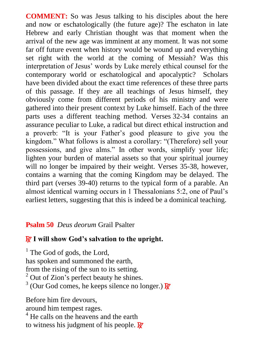**COMMENT:** So was Jesus talking to his disciples about the here and now or eschatologically (the future age)? The eschaton in late Hebrew and early Christian thought was that moment when the arrival of the new age was imminent at any moment. It was not some far off future event when history would be wound up and everything set right with the world at the coming of Messiah? Was this interpretation of Jesus' words by Luke merely ethical counsel for the contemporary world or eschatological and apocalyptic? Scholars have been divided about the exact time references of these three parts of this passage. If they are all teachings of Jesus himself, they obviously come from different periods of his ministry and were gathered into their present context by Luke himself. Each of the three parts uses a different teaching method. Verses 32-34 contains an assurance peculiar to Luke, a radical but direct ethical instruction and a proverb: "It is your Father's good pleasure to give you the kingdom." What follows is almost a corollary: "(Therefore) sell your possessions, and give alms." In other words, simplify your life; lighten your burden of material assets so that your spiritual journey will no longer be impaired by their weight. Verses 35-38, however, contains a warning that the coming Kingdom may be delayed. The third part (verses 39-40) returns to the typical form of a parable. An almost identical warning occurs in 1 Thessalonians 5:2, one of Paul's earliest letters, suggesting that this is indeed be a dominical teaching.

#### **Psalm 50** *Deus deorum* Grail Psalter

#### R **I will show God's salvation to the upright.**

<sup>1</sup> The God of gods, the Lord,

has spoken and summoned the earth,

from the rising of the sun to its setting.

 $2$  Out of Zion's perfect beauty he shines.

<sup>3</sup> (Our God comes, he keeps silence no longer.)  $\mathbb{R}$ 

Before him fire devours,

around him tempest rages.

<sup>4</sup> He calls on the heavens and the earth to witness his judgment of his people.  $\mathbb{R}^7$